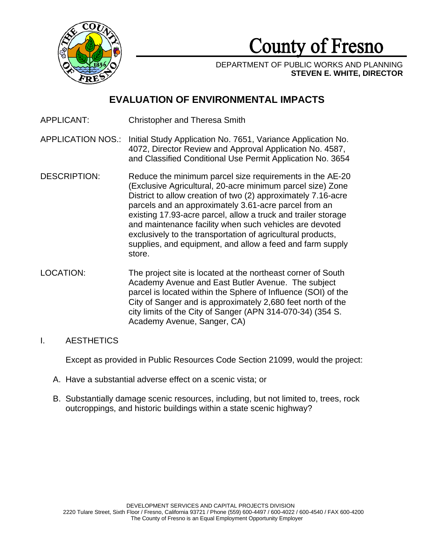

# County of Fresno

DEPARTMENT OF PUBLIC WORKS AND PLANNING **STEVEN E. WHITE, DIRECTOR**

## **EVALUATION OF ENVIRONMENTAL IMPACTS**

- APPLICANT: Christopher and Theresa Smith
- APPLICATION NOS.: Initial Study Application No. 7651, Variance Application No. 4072, Director Review and Approval Application No. 4587, and Classified Conditional Use Permit Application No. 3654
- DESCRIPTION: Reduce the minimum parcel size requirements in the AE-20 (Exclusive Agricultural, 20-acre minimum parcel size) Zone District to allow creation of two (2) approximately 7.16-acre parcels and an approximately 3.61-acre parcel from an existing 17.93-acre parcel, allow a truck and trailer storage and maintenance facility when such vehicles are devoted exclusively to the transportation of agricultural products, supplies, and equipment, and allow a feed and farm supply store.
- LOCATION: The project site is located at the northeast corner of South Academy Avenue and East Butler Avenue. The subject parcel is located within the Sphere of Influence (SOI) of the City of Sanger and is approximately 2,680 feet north of the city limits of the City of Sanger (APN 314-070-34) (354 S. Academy Avenue, Sanger, CA)

## I. AESTHETICS

Except as provided in Public Resources Code Section 21099, would the project:

- A. Have a substantial adverse effect on a scenic vista; or
- B. Substantially damage scenic resources, including, but not limited to, trees, rock outcroppings, and historic buildings within a state scenic highway?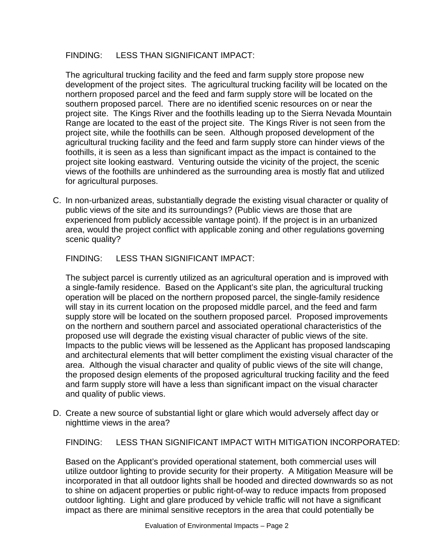## FINDING: LESS THAN SIGNIFICANT IMPACT:

The agricultural trucking facility and the feed and farm supply store propose new development of the project sites. The agricultural trucking facility will be located on the northern proposed parcel and the feed and farm supply store will be located on the southern proposed parcel. There are no identified scenic resources on or near the project site. The Kings River and the foothills leading up to the Sierra Nevada Mountain Range are located to the east of the project site. The Kings River is not seen from the project site, while the foothills can be seen. Although proposed development of the agricultural trucking facility and the feed and farm supply store can hinder views of the foothills, it is seen as a less than significant impact as the impact is contained to the project site looking eastward. Venturing outside the vicinity of the project, the scenic views of the foothills are unhindered as the surrounding area is mostly flat and utilized for agricultural purposes.

C. In non-urbanized areas, substantially degrade the existing visual character or quality of public views of the site and its surroundings? (Public views are those that are experienced from publicly accessible vantage point). If the project is in an urbanized area, would the project conflict with applicable zoning and other regulations governing scenic quality?

FINDING: LESS THAN SIGNIFICANT IMPACT:

The subject parcel is currently utilized as an agricultural operation and is improved with a single-family residence. Based on the Applicant's site plan, the agricultural trucking operation will be placed on the northern proposed parcel, the single-family residence will stay in its current location on the proposed middle parcel, and the feed and farm supply store will be located on the southern proposed parcel. Proposed improvements on the northern and southern parcel and associated operational characteristics of the proposed use will degrade the existing visual character of public views of the site. Impacts to the public views will be lessened as the Applicant has proposed landscaping and architectural elements that will better compliment the existing visual character of the area. Although the visual character and quality of public views of the site will change, the proposed design elements of the proposed agricultural trucking facility and the feed and farm supply store will have a less than significant impact on the visual character and quality of public views.

D. Create a new source of substantial light or glare which would adversely affect day or nighttime views in the area?

FINDING: LESS THAN SIGNIFICANT IMPACT WITH MITIGATION INCORPORATED:

Based on the Applicant's provided operational statement, both commercial uses will utilize outdoor lighting to provide security for their property. A Mitigation Measure will be incorporated in that all outdoor lights shall be hooded and directed downwards so as not to shine on adjacent properties or public right-of-way to reduce impacts from proposed outdoor lighting. Light and glare produced by vehicle traffic will not have a significant impact as there are minimal sensitive receptors in the area that could potentially be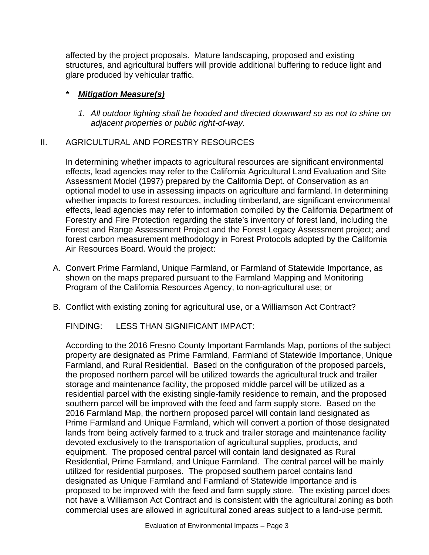affected by the project proposals. Mature landscaping, proposed and existing structures, and agricultural buffers will provide additional buffering to reduce light and glare produced by vehicular traffic.

## *\* Mitigation Measure(s)*

*1. All outdoor lighting shall be hooded and directed downward so as not to shine on adjacent properties or public right-of-way.* 

## II. AGRICULTURAL AND FORESTRY RESOURCES

In determining whether impacts to agricultural resources are significant environmental effects, lead agencies may refer to the California Agricultural Land Evaluation and Site Assessment Model (1997) prepared by the California Dept. of Conservation as an optional model to use in assessing impacts on agriculture and farmland. In determining whether impacts to forest resources, including timberland, are significant environmental effects, lead agencies may refer to information compiled by the California Department of Forestry and Fire Protection regarding the state's inventory of forest land, including the Forest and Range Assessment Project and the Forest Legacy Assessment project; and forest carbon measurement methodology in Forest Protocols adopted by the California Air Resources Board. Would the project:

- A. Convert Prime Farmland, Unique Farmland, or Farmland of Statewide Importance, as shown on the maps prepared pursuant to the Farmland Mapping and Monitoring Program of the California Resources Agency, to non-agricultural use; or
- B. Conflict with existing zoning for agricultural use, or a Williamson Act Contract?

FINDING: LESS THAN SIGNIFICANT IMPACT:

According to the 2016 Fresno County Important Farmlands Map, portions of the subject property are designated as Prime Farmland, Farmland of Statewide Importance, Unique Farmland, and Rural Residential. Based on the configuration of the proposed parcels, the proposed northern parcel will be utilized towards the agricultural truck and trailer storage and maintenance facility, the proposed middle parcel will be utilized as a residential parcel with the existing single-family residence to remain, and the proposed southern parcel will be improved with the feed and farm supply store. Based on the 2016 Farmland Map, the northern proposed parcel will contain land designated as Prime Farmland and Unique Farmland, which will convert a portion of those designated lands from being actively farmed to a truck and trailer storage and maintenance facility devoted exclusively to the transportation of agricultural supplies, products, and equipment. The proposed central parcel will contain land designated as Rural Residential, Prime Farmland, and Unique Farmland. The central parcel will be mainly utilized for residential purposes. The proposed southern parcel contains land designated as Unique Farmland and Farmland of Statewide Importance and is proposed to be improved with the feed and farm supply store. The existing parcel does not have a Williamson Act Contract and is consistent with the agricultural zoning as both commercial uses are allowed in agricultural zoned areas subject to a land-use permit.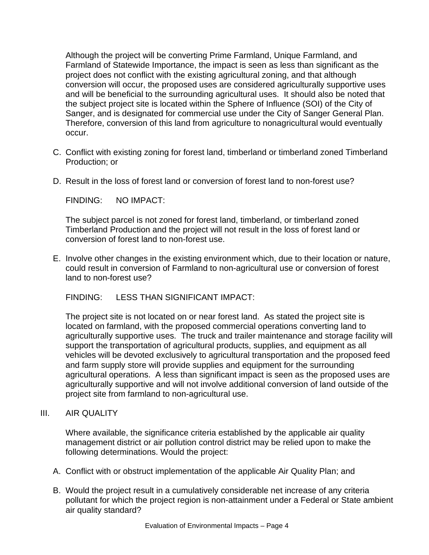Although the project will be converting Prime Farmland, Unique Farmland, and Farmland of Statewide Importance, the impact is seen as less than significant as the project does not conflict with the existing agricultural zoning, and that although conversion will occur, the proposed uses are considered agriculturally supportive uses and will be beneficial to the surrounding agricultural uses. It should also be noted that the subject project site is located within the Sphere of Influence (SOI) of the City of Sanger, and is designated for commercial use under the City of Sanger General Plan. Therefore, conversion of this land from agriculture to nonagricultural would eventually occur.

- C. Conflict with existing zoning for forest land, timberland or timberland zoned Timberland Production; or
- D. Result in the loss of forest land or conversion of forest land to non-forest use?

FINDING: NO IMPACT:

The subject parcel is not zoned for forest land, timberland, or timberland zoned Timberland Production and the project will not result in the loss of forest land or conversion of forest land to non-forest use.

E. Involve other changes in the existing environment which, due to their location or nature, could result in conversion of Farmland to non-agricultural use or conversion of forest land to non-forest use?

FINDING: LESS THAN SIGNIFICANT IMPACT:

The project site is not located on or near forest land. As stated the project site is located on farmland, with the proposed commercial operations converting land to agriculturally supportive uses. The truck and trailer maintenance and storage facility will support the transportation of agricultural products, supplies, and equipment as all vehicles will be devoted exclusively to agricultural transportation and the proposed feed and farm supply store will provide supplies and equipment for the surrounding agricultural operations. A less than significant impact is seen as the proposed uses are agriculturally supportive and will not involve additional conversion of land outside of the project site from farmland to non-agricultural use.

## III. AIR QUALITY

Where available, the significance criteria established by the applicable air quality management district or air pollution control district may be relied upon to make the following determinations. Would the project:

- A. Conflict with or obstruct implementation of the applicable Air Quality Plan; and
- B. Would the project result in a cumulatively considerable net increase of any criteria pollutant for which the project region is non-attainment under a Federal or State ambient air quality standard?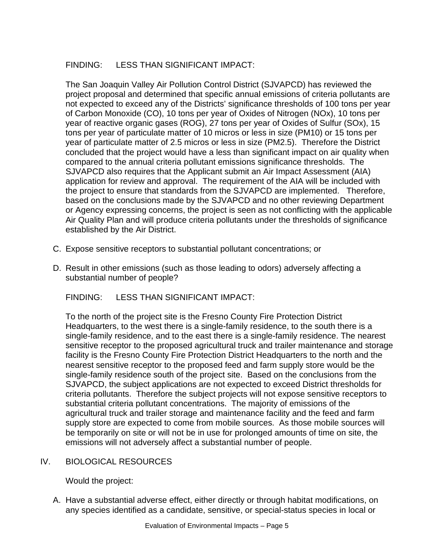## FINDING: LESS THAN SIGNIFICANT IMPACT:

The San Joaquin Valley Air Pollution Control District (SJVAPCD) has reviewed the project proposal and determined that specific annual emissions of criteria pollutants are not expected to exceed any of the Districts' significance thresholds of 100 tons per year of Carbon Monoxide (CO), 10 tons per year of Oxides of Nitrogen (NOx), 10 tons per year of reactive organic gases (ROG), 27 tons per year of Oxides of Sulfur (SOx), 15 tons per year of particulate matter of 10 micros or less in size (PM10) or 15 tons per year of particulate matter of 2.5 micros or less in size (PM2.5). Therefore the District concluded that the project would have a less than significant impact on air quality when compared to the annual criteria pollutant emissions significance thresholds. The SJVAPCD also requires that the Applicant submit an Air Impact Assessment (AIA) application for review and approval. The requirement of the AIA will be included with the project to ensure that standards from the SJVAPCD are implemented. Therefore, based on the conclusions made by the SJVAPCD and no other reviewing Department or Agency expressing concerns, the project is seen as not conflicting with the applicable Air Quality Plan and will produce criteria pollutants under the thresholds of significance established by the Air District.

- C. Expose sensitive receptors to substantial pollutant concentrations; or
- D. Result in other emissions (such as those leading to odors) adversely affecting a substantial number of people?

FINDING: LESS THAN SIGNIFICANT IMPACT:

To the north of the project site is the Fresno County Fire Protection District Headquarters, to the west there is a single-family residence, to the south there is a single-family residence, and to the east there is a single-family residence. The nearest sensitive receptor to the proposed agricultural truck and trailer maintenance and storage facility is the Fresno County Fire Protection District Headquarters to the north and the nearest sensitive receptor to the proposed feed and farm supply store would be the single-family residence south of the project site. Based on the conclusions from the SJVAPCD, the subject applications are not expected to exceed District thresholds for criteria pollutants. Therefore the subject projects will not expose sensitive receptors to substantial criteria pollutant concentrations. The majority of emissions of the agricultural truck and trailer storage and maintenance facility and the feed and farm supply store are expected to come from mobile sources. As those mobile sources will be temporarily on site or will not be in use for prolonged amounts of time on site, the emissions will not adversely affect a substantial number of people.

## IV. BIOLOGICAL RESOURCES

Would the project:

A. Have a substantial adverse effect, either directly or through habitat modifications, on any species identified as a candidate, sensitive, or special-status species in local or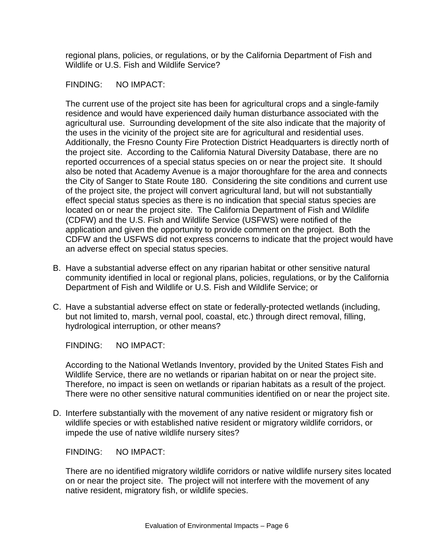regional plans, policies, or regulations, or by the California Department of Fish and Wildlife or U.S. Fish and Wildlife Service?

#### FINDING: NO IMPACT:

The current use of the project site has been for agricultural crops and a single-family residence and would have experienced daily human disturbance associated with the agricultural use. Surrounding development of the site also indicate that the majority of the uses in the vicinity of the project site are for agricultural and residential uses. Additionally, the Fresno County Fire Protection District Headquarters is directly north of the project site. According to the California Natural Diversity Database, there are no reported occurrences of a special status species on or near the project site. It should also be noted that Academy Avenue is a major thoroughfare for the area and connects the City of Sanger to State Route 180. Considering the site conditions and current use of the project site, the project will convert agricultural land, but will not substantially effect special status species as there is no indication that special status species are located on or near the project site. The California Department of Fish and Wildlife (CDFW) and the U.S. Fish and Wildlife Service (USFWS) were notified of the application and given the opportunity to provide comment on the project. Both the CDFW and the USFWS did not express concerns to indicate that the project would have an adverse effect on special status species.

- B. Have a substantial adverse effect on any riparian habitat or other sensitive natural community identified in local or regional plans, policies, regulations, or by the California Department of Fish and Wildlife or U.S. Fish and Wildlife Service; or
- C. Have a substantial adverse effect on state or federally-protected wetlands (including, but not limited to, marsh, vernal pool, coastal, etc.) through direct removal, filling, hydrological interruption, or other means?

FINDING: NO IMPACT:

According to the National Wetlands Inventory, provided by the United States Fish and Wildlife Service, there are no wetlands or riparian habitat on or near the project site. Therefore, no impact is seen on wetlands or riparian habitats as a result of the project. There were no other sensitive natural communities identified on or near the project site.

D. Interfere substantially with the movement of any native resident or migratory fish or wildlife species or with established native resident or migratory wildlife corridors, or impede the use of native wildlife nursery sites?

FINDING: NO IMPACT:

There are no identified migratory wildlife corridors or native wildlife nursery sites located on or near the project site. The project will not interfere with the movement of any native resident, migratory fish, or wildlife species.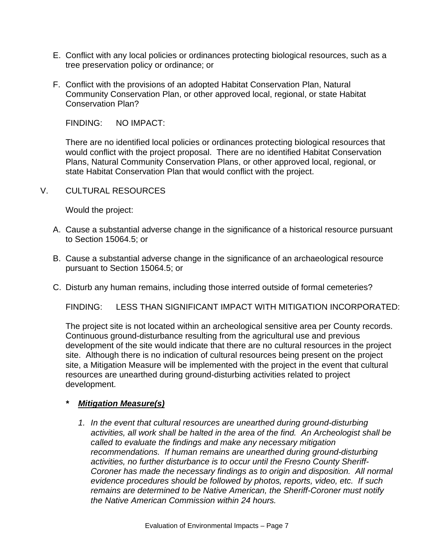- E. Conflict with any local policies or ordinances protecting biological resources, such as a tree preservation policy or ordinance; or
- F. Conflict with the provisions of an adopted Habitat Conservation Plan, Natural Community Conservation Plan, or other approved local, regional, or state Habitat Conservation Plan?

FINDING: NO IMPACT:

There are no identified local policies or ordinances protecting biological resources that would conflict with the project proposal. There are no identified Habitat Conservation Plans, Natural Community Conservation Plans, or other approved local, regional, or state Habitat Conservation Plan that would conflict with the project.

V. CULTURAL RESOURCES

Would the project:

- A. Cause a substantial adverse change in the significance of a historical resource pursuant to Section 15064.5; or
- B. Cause a substantial adverse change in the significance of an archaeological resource pursuant to Section 15064.5; or
- C. Disturb any human remains, including those interred outside of formal cemeteries?

FINDING: LESS THAN SIGNIFICANT IMPACT WITH MITIGATION INCORPORATED:

The project site is not located within an archeological sensitive area per County records. Continuous ground-disturbance resulting from the agricultural use and previous development of the site would indicate that there are no cultural resources in the project site. Although there is no indication of cultural resources being present on the project site, a Mitigation Measure will be implemented with the project in the event that cultural resources are unearthed during ground-disturbing activities related to project development.

- *\* Mitigation Measure(s)*
	- *1. In the event that cultural resources are unearthed during ground-disturbing activities, all work shall be halted in the area of the find. An Archeologist shall be called to evaluate the findings and make any necessary mitigation recommendations. If human remains are unearthed during ground-disturbing activities, no further disturbance is to occur until the Fresno County Sheriff-Coroner has made the necessary findings as to origin and disposition. All normal evidence procedures should be followed by photos, reports, video, etc. If such remains are determined to be Native American, the Sheriff-Coroner must notify the Native American Commission within 24 hours.*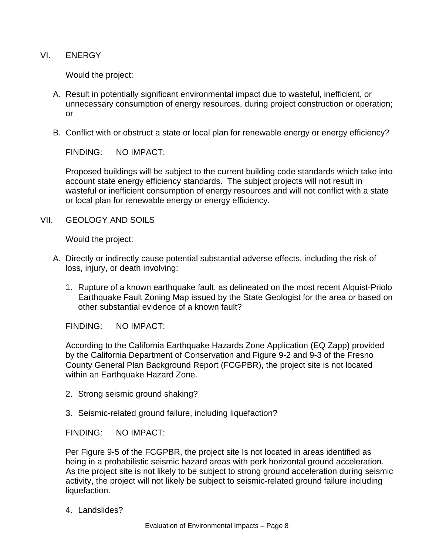VI. ENERGY

Would the project:

- A. Result in potentially significant environmental impact due to wasteful, inefficient, or unnecessary consumption of energy resources, during project construction or operation; or
- B. Conflict with or obstruct a state or local plan for renewable energy or energy efficiency?

FINDING: NO IMPACT:

Proposed buildings will be subject to the current building code standards which take into account state energy efficiency standards. The subject projects will not result in wasteful or inefficient consumption of energy resources and will not conflict with a state or local plan for renewable energy or energy efficiency.

VII. GEOLOGY AND SOILS

Would the project:

- A. Directly or indirectly cause potential substantial adverse effects, including the risk of loss, injury, or death involving:
	- 1. Rupture of a known earthquake fault, as delineated on the most recent Alquist-Priolo Earthquake Fault Zoning Map issued by the State Geologist for the area or based on other substantial evidence of a known fault?

FINDING: NO IMPACT:

According to the California Earthquake Hazards Zone Application (EQ Zapp) provided by the California Department of Conservation and Figure 9-2 and 9-3 of the Fresno County General Plan Background Report (FCGPBR), the project site is not located within an Earthquake Hazard Zone.

- 2. Strong seismic ground shaking?
- 3. Seismic-related ground failure, including liquefaction?

FINDING: NO IMPACT:

Per Figure 9-5 of the FCGPBR, the project site Is not located in areas identified as being in a probabilistic seismic hazard areas with perk horizontal ground acceleration. As the project site is not likely to be subject to strong ground acceleration during seismic activity, the project will not likely be subject to seismic-related ground failure including liquefaction.

4. Landslides?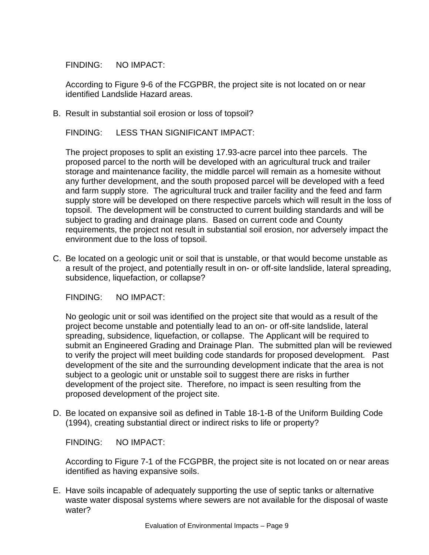FINDING: NO IMPACT:

According to Figure 9-6 of the FCGPBR, the project site is not located on or near identified Landslide Hazard areas.

B. Result in substantial soil erosion or loss of topsoil?

FINDING: LESS THAN SIGNIFICANT IMPACT:

The project proposes to split an existing 17.93-acre parcel into thee parcels. The proposed parcel to the north will be developed with an agricultural truck and trailer storage and maintenance facility, the middle parcel will remain as a homesite without any further development, and the south proposed parcel will be developed with a feed and farm supply store. The agricultural truck and trailer facility and the feed and farm supply store will be developed on there respective parcels which will result in the loss of topsoil. The development will be constructed to current building standards and will be subject to grading and drainage plans. Based on current code and County requirements, the project not result in substantial soil erosion, nor adversely impact the environment due to the loss of topsoil.

C. Be located on a geologic unit or soil that is unstable, or that would become unstable as a result of the project, and potentially result in on- or off-site landslide, lateral spreading, subsidence, liquefaction, or collapse?

FINDING: NO IMPACT:

No geologic unit or soil was identified on the project site that would as a result of the project become unstable and potentially lead to an on- or off-site landslide, lateral spreading, subsidence, liquefaction, or collapse. The Applicant will be required to submit an Engineered Grading and Drainage Plan. The submitted plan will be reviewed to verify the project will meet building code standards for proposed development. Past development of the site and the surrounding development indicate that the area is not subject to a geologic unit or unstable soil to suggest there are risks in further development of the project site. Therefore, no impact is seen resulting from the proposed development of the project site.

D. Be located on expansive soil as defined in Table 18-1-B of the Uniform Building Code (1994), creating substantial direct or indirect risks to life or property?

FINDING: NO IMPACT:

According to Figure 7-1 of the FCGPBR, the project site is not located on or near areas identified as having expansive soils.

E. Have soils incapable of adequately supporting the use of septic tanks or alternative waste water disposal systems where sewers are not available for the disposal of waste water?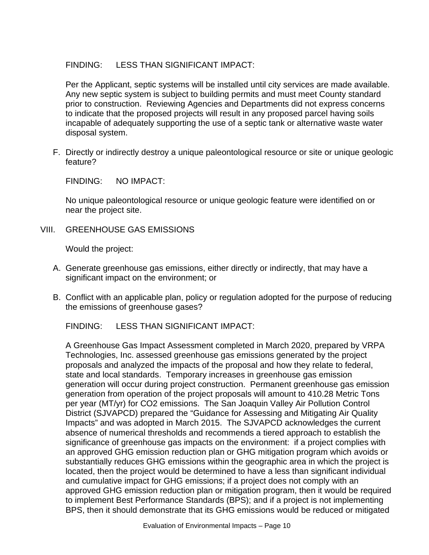## FINDING: LESS THAN SIGNIFICANT IMPACT:

Per the Applicant, septic systems will be installed until city services are made available. Any new septic system is subject to building permits and must meet County standard prior to construction. Reviewing Agencies and Departments did not express concerns to indicate that the proposed projects will result in any proposed parcel having soils incapable of adequately supporting the use of a septic tank or alternative waste water disposal system.

F. Directly or indirectly destroy a unique paleontological resource or site or unique geologic feature?

FINDING: NO IMPACT:

No unique paleontological resource or unique geologic feature were identified on or near the project site.

VIII. GREENHOUSE GAS EMISSIONS

Would the project:

- A. Generate greenhouse gas emissions, either directly or indirectly, that may have a significant impact on the environment; or
- B. Conflict with an applicable plan, policy or regulation adopted for the purpose of reducing the emissions of greenhouse gases?

FINDING: LESS THAN SIGNIFICANT IMPACT:

A Greenhouse Gas Impact Assessment completed in March 2020, prepared by VRPA Technologies, Inc. assessed greenhouse gas emissions generated by the project proposals and analyzed the impacts of the proposal and how they relate to federal, state and local standards. Temporary increases in greenhouse gas emission generation will occur during project construction. Permanent greenhouse gas emission generation from operation of the project proposals will amount to 410.28 Metric Tons per year (MT/yr) for CO2 emissions. The San Joaquin Valley Air Pollution Control District (SJVAPCD) prepared the "Guidance for Assessing and Mitigating Air Quality Impacts" and was adopted in March 2015. The SJVAPCD acknowledges the current absence of numerical thresholds and recommends a tiered approach to establish the significance of greenhouse gas impacts on the environment: if a project complies with an approved GHG emission reduction plan or GHG mitigation program which avoids or substantially reduces GHG emissions within the geographic area in which the project is located, then the project would be determined to have a less than significant individual and cumulative impact for GHG emissions; if a project does not comply with an approved GHG emission reduction plan or mitigation program, then it would be required to implement Best Performance Standards (BPS); and if a project is not implementing BPS, then it should demonstrate that its GHG emissions would be reduced or mitigated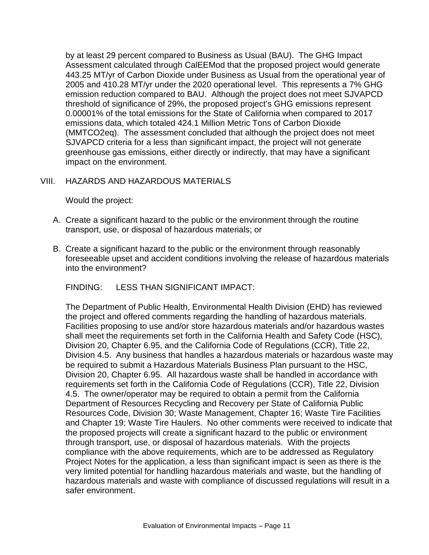by at least 29 percent compared to Business as Usual (BAU). The GHG Impact Assessment calculated through CalEEMod that the proposed project would generate 443.25 MT/yr of Carbon Dioxide under Business as Usual from the operational year of 2005 and 410.28 MT/yr under the 2020 operational level. This represents a 7% GHG emission reduction compared to BAU. Although the project does not meet SJVAPCD threshold of significance of 29%, the proposed project's GHG emissions represent 0.00001% of the total emissions for the State of California when compared to 2017 emissions data, which totaled 424.1 Million Metric Tons of Carbon Dioxide (MMTCO2eq). The assessment concluded that although the project does not meet SJVAPCD criteria for a less than significant impact, the project will not generate greenhouse gas emissions, either directly or indirectly, that may have a significant impact on the environment.

## VIII. HAZARDS AND HAZARDOUS MATERIALS

Would the project:

- A. Create a significant hazard to the public or the environment through the routine transport, use, or disposal of hazardous materials; or
- B. Create a significant hazard to the public or the environment through reasonably foreseeable upset and accident conditions involving the release of hazardous materials into the environment?

FINDING: LESS THAN SIGNIFICANT IMPACT:

The Department of Public Health, Environmental Health Division (EHD) has reviewed the project and offered comments regarding the handling of hazardous materials. Facilities proposing to use and/or store hazardous materials and/or hazardous wastes shall meet the requirements set forth in the California Health and Safety Code (HSC), Division 20, Chapter 6.95, and the California Code of Regulations (CCR), Title 22, Division 4.5. Any business that handles a hazardous materials or hazardous waste may be required to submit a Hazardous Materials Business Plan pursuant to the HSC, Division 20, Chapter 6.95. All hazardous waste shall be handled in accordance with requirements set forth in the California Code of Regulations (CCR), Title 22, Division 4.5. The owner/operator may be required to obtain a permit from the California Department of Resources Recycling and Recovery per State of California Public Resources Code, Division 30; Waste Management, Chapter 16; Waste Tire Facilities and Chapter 19; Waste Tire Haulers. No other comments were received to indicate that the proposed projects will create a significant hazard to the public or environment through transport, use, or disposal of hazardous materials. With the projects compliance with the above requirements, which are to be addressed as Regulatory Project Notes for the application, a less than significant impact is seen as there is the very limited potential for handling hazardous materials and waste, but the handling of hazardous materials and waste with compliance of discussed regulations will result in a safer environment.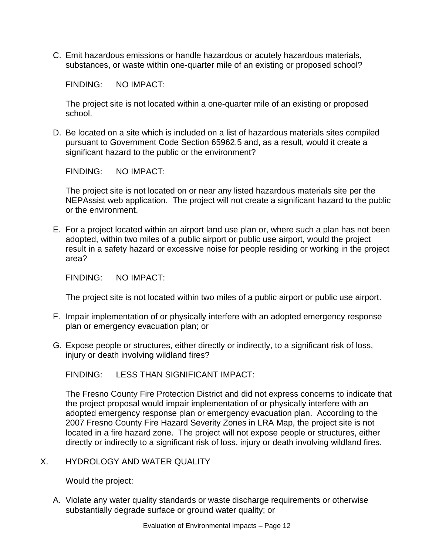C. Emit hazardous emissions or handle hazardous or acutely hazardous materials, substances, or waste within one-quarter mile of an existing or proposed school?

FINDING: NO IMPACT:

The project site is not located within a one-quarter mile of an existing or proposed school.

D. Be located on a site which is included on a list of hazardous materials sites compiled pursuant to Government Code Section 65962.5 and, as a result, would it create a significant hazard to the public or the environment?

FINDING: NO IMPACT:

The project site is not located on or near any listed hazardous materials site per the NEPAssist web application. The project will not create a significant hazard to the public or the environment.

E. For a project located within an airport land use plan or, where such a plan has not been adopted, within two miles of a public airport or public use airport, would the project result in a safety hazard or excessive noise for people residing or working in the project area?

FINDING: NO IMPACT:

The project site is not located within two miles of a public airport or public use airport.

- F. Impair implementation of or physically interfere with an adopted emergency response plan or emergency evacuation plan; or
- G. Expose people or structures, either directly or indirectly, to a significant risk of loss, injury or death involving wildland fires?

FINDING: LESS THAN SIGNIFICANT IMPACT:

The Fresno County Fire Protection District and did not express concerns to indicate that the project proposal would impair implementation of or physically interfere with an adopted emergency response plan or emergency evacuation plan. According to the 2007 Fresno County Fire Hazard Severity Zones in LRA Map, the project site is not located in a fire hazard zone. The project will not expose people or structures, either directly or indirectly to a significant risk of loss, injury or death involving wildland fires.

X. HYDROLOGY AND WATER QUALITY

Would the project:

A. Violate any water quality standards or waste discharge requirements or otherwise substantially degrade surface or ground water quality; or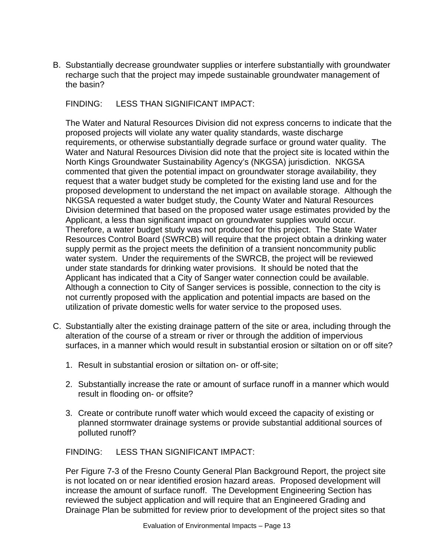B. Substantially decrease groundwater supplies or interfere substantially with groundwater recharge such that the project may impede sustainable groundwater management of the basin?

FINDING: LESS THAN SIGNIFICANT IMPACT:

The Water and Natural Resources Division did not express concerns to indicate that the proposed projects will violate any water quality standards, waste discharge requirements, or otherwise substantially degrade surface or ground water quality. The Water and Natural Resources Division did note that the project site is located within the North Kings Groundwater Sustainability Agency's (NKGSA) jurisdiction. NKGSA commented that given the potential impact on groundwater storage availability, they request that a water budget study be completed for the existing land use and for the proposed development to understand the net impact on available storage. Although the NKGSA requested a water budget study, the County Water and Natural Resources Division determined that based on the proposed water usage estimates provided by the Applicant, a less than significant impact on groundwater supplies would occur. Therefore, a water budget study was not produced for this project. The State Water Resources Control Board (SWRCB) will require that the project obtain a drinking water supply permit as the project meets the definition of a transient noncommunity public water system. Under the requirements of the SWRCB, the project will be reviewed under state standards for drinking water provisions. It should be noted that the Applicant has indicated that a City of Sanger water connection could be available. Although a connection to City of Sanger services is possible, connection to the city is not currently proposed with the application and potential impacts are based on the utilization of private domestic wells for water service to the proposed uses.

- C. Substantially alter the existing drainage pattern of the site or area, including through the alteration of the course of a stream or river or through the addition of impervious surfaces, in a manner which would result in substantial erosion or siltation on or off site?
	- 1. Result in substantial erosion or siltation on- or off-site;
	- 2. Substantially increase the rate or amount of surface runoff in a manner which would result in flooding on- or offsite?
	- 3. Create or contribute runoff water which would exceed the capacity of existing or planned stormwater drainage systems or provide substantial additional sources of polluted runoff?

FINDING: LESS THAN SIGNIFICANT IMPACT:

Per Figure 7-3 of the Fresno County General Plan Background Report, the project site is not located on or near identified erosion hazard areas. Proposed development will increase the amount of surface runoff. The Development Engineering Section has reviewed the subject application and will require that an Engineered Grading and Drainage Plan be submitted for review prior to development of the project sites so that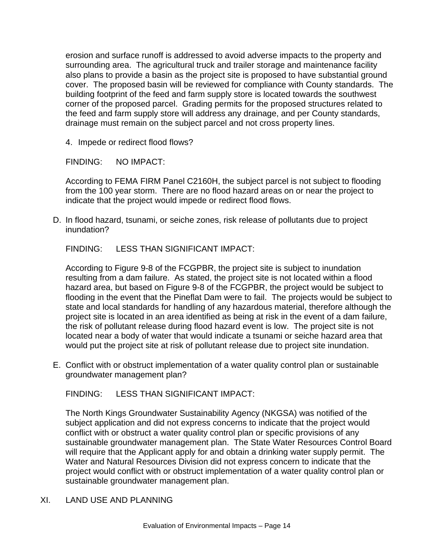erosion and surface runoff is addressed to avoid adverse impacts to the property and surrounding area. The agricultural truck and trailer storage and maintenance facility also plans to provide a basin as the project site is proposed to have substantial ground cover. The proposed basin will be reviewed for compliance with County standards. The building footprint of the feed and farm supply store is located towards the southwest corner of the proposed parcel. Grading permits for the proposed structures related to the feed and farm supply store will address any drainage, and per County standards, drainage must remain on the subject parcel and not cross property lines.

4. Impede or redirect flood flows?

FINDING: NO IMPACT:

According to FEMA FIRM Panel C2160H, the subject parcel is not subject to flooding from the 100 year storm. There are no flood hazard areas on or near the project to indicate that the project would impede or redirect flood flows.

D. In flood hazard, tsunami, or seiche zones, risk release of pollutants due to project inundation?

FINDING: LESS THAN SIGNIFICANT IMPACT:

According to Figure 9-8 of the FCGPBR, the project site is subject to inundation resulting from a dam failure. As stated, the project site is not located within a flood hazard area, but based on Figure 9-8 of the FCGPBR, the project would be subject to flooding in the event that the Pineflat Dam were to fail. The projects would be subject to state and local standards for handling of any hazardous material, therefore although the project site is located in an area identified as being at risk in the event of a dam failure, the risk of pollutant release during flood hazard event is low. The project site is not located near a body of water that would indicate a tsunami or seiche hazard area that would put the project site at risk of pollutant release due to project site inundation.

E. Conflict with or obstruct implementation of a water quality control plan or sustainable groundwater management plan?

FINDING: LESS THAN SIGNIFICANT IMPACT:

The North Kings Groundwater Sustainability Agency (NKGSA) was notified of the subject application and did not express concerns to indicate that the project would conflict with or obstruct a water quality control plan or specific provisions of any sustainable groundwater management plan. The State Water Resources Control Board will require that the Applicant apply for and obtain a drinking water supply permit. The Water and Natural Resources Division did not express concern to indicate that the project would conflict with or obstruct implementation of a water quality control plan or sustainable groundwater management plan.

#### XI. LAND USE AND PLANNING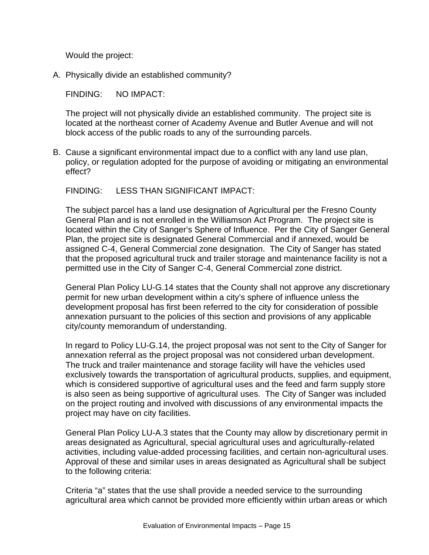Would the project:

A. Physically divide an established community?

FINDING: NO IMPACT:

The project will not physically divide an established community. The project site is located at the northeast corner of Academy Avenue and Butler Avenue and will not block access of the public roads to any of the surrounding parcels.

B. Cause a significant environmental impact due to a conflict with any land use plan, policy, or regulation adopted for the purpose of avoiding or mitigating an environmental effect?

FINDING: LESS THAN SIGNIFICANT IMPACT:

The subject parcel has a land use designation of Agricultural per the Fresno County General Plan and is not enrolled in the Williamson Act Program. The project site is located within the City of Sanger's Sphere of Influence. Per the City of Sanger General Plan, the project site is designated General Commercial and if annexed, would be assigned C-4, General Commercial zone designation. The City of Sanger has stated that the proposed agricultural truck and trailer storage and maintenance facility is not a permitted use in the City of Sanger C-4, General Commercial zone district.

General Plan Policy LU-G.14 states that the County shall not approve any discretionary permit for new urban development within a city's sphere of influence unless the development proposal has first been referred to the city for consideration of possible annexation pursuant to the policies of this section and provisions of any applicable city/county memorandum of understanding.

In regard to Policy LU-G.14, the project proposal was not sent to the City of Sanger for annexation referral as the project proposal was not considered urban development. The truck and trailer maintenance and storage facility will have the vehicles used exclusively towards the transportation of agricultural products, supplies, and equipment, which is considered supportive of agricultural uses and the feed and farm supply store is also seen as being supportive of agricultural uses. The City of Sanger was included on the project routing and involved with discussions of any environmental impacts the project may have on city facilities.

General Plan Policy LU-A.3 states that the County may allow by discretionary permit in areas designated as Agricultural, special agricultural uses and agriculturally-related activities, including value-added processing facilities, and certain non-agricultural uses. Approval of these and similar uses in areas designated as Agricultural shall be subject to the following criteria:

Criteria "a" states that the use shall provide a needed service to the surrounding agricultural area which cannot be provided more efficiently within urban areas or which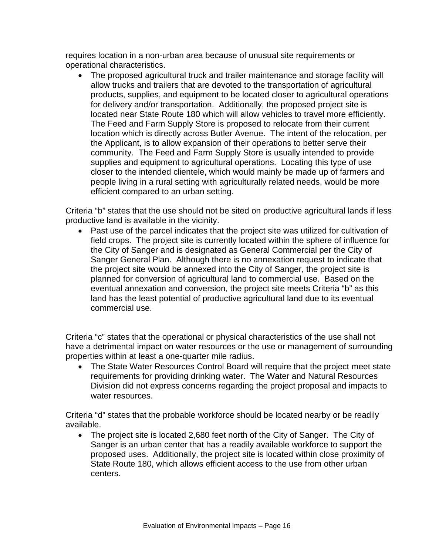requires location in a non-urban area because of unusual site requirements or operational characteristics.

• The proposed agricultural truck and trailer maintenance and storage facility will allow trucks and trailers that are devoted to the transportation of agricultural products, supplies, and equipment to be located closer to agricultural operations for delivery and/or transportation. Additionally, the proposed project site is located near State Route 180 which will allow vehicles to travel more efficiently. The Feed and Farm Supply Store is proposed to relocate from their current location which is directly across Butler Avenue. The intent of the relocation, per the Applicant, is to allow expansion of their operations to better serve their community. The Feed and Farm Supply Store is usually intended to provide supplies and equipment to agricultural operations. Locating this type of use closer to the intended clientele, which would mainly be made up of farmers and people living in a rural setting with agriculturally related needs, would be more efficient compared to an urban setting.

Criteria "b" states that the use should not be sited on productive agricultural lands if less productive land is available in the vicinity.

Past use of the parcel indicates that the project site was utilized for cultivation of field crops. The project site is currently located within the sphere of influence for the City of Sanger and is designated as General Commercial per the City of Sanger General Plan. Although there is no annexation request to indicate that the project site would be annexed into the City of Sanger, the project site is planned for conversion of agricultural land to commercial use. Based on the eventual annexation and conversion, the project site meets Criteria "b" as this land has the least potential of productive agricultural land due to its eventual commercial use.

Criteria "c" states that the operational or physical characteristics of the use shall not have a detrimental impact on water resources or the use or management of surrounding properties within at least a one-quarter mile radius.

• The State Water Resources Control Board will require that the project meet state requirements for providing drinking water. The Water and Natural Resources Division did not express concerns regarding the project proposal and impacts to water resources.

Criteria "d" states that the probable workforce should be located nearby or be readily available.

• The project site is located 2,680 feet north of the City of Sanger. The City of Sanger is an urban center that has a readily available workforce to support the proposed uses. Additionally, the project site is located within close proximity of State Route 180, which allows efficient access to the use from other urban centers.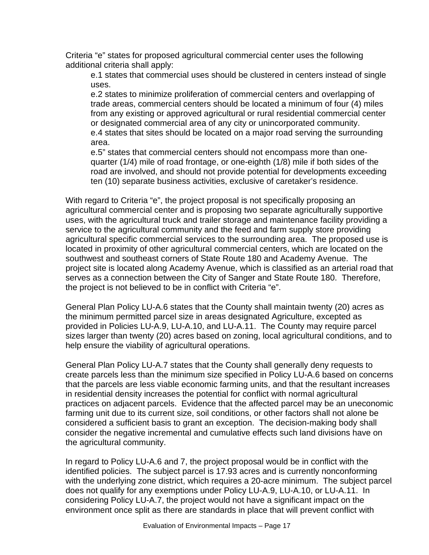Criteria "e" states for proposed agricultural commercial center uses the following additional criteria shall apply:

e.1 states that commercial uses should be clustered in centers instead of single uses.

e.2 states to minimize proliferation of commercial centers and overlapping of trade areas, commercial centers should be located a minimum of four (4) miles from any existing or approved agricultural or rural residential commercial center or designated commercial area of any city or unincorporated community. e.4 states that sites should be located on a major road serving the surrounding area.

e.5" states that commercial centers should not encompass more than onequarter (1/4) mile of road frontage, or one-eighth (1/8) mile if both sides of the road are involved, and should not provide potential for developments exceeding ten (10) separate business activities, exclusive of caretaker's residence.

With regard to Criteria "e", the project proposal is not specifically proposing an agricultural commercial center and is proposing two separate agriculturally supportive uses, with the agricultural truck and trailer storage and maintenance facility providing a service to the agricultural community and the feed and farm supply store providing agricultural specific commercial services to the surrounding area. The proposed use is located in proximity of other agricultural commercial centers, which are located on the southwest and southeast corners of State Route 180 and Academy Avenue. The project site is located along Academy Avenue, which is classified as an arterial road that serves as a connection between the City of Sanger and State Route 180. Therefore, the project is not believed to be in conflict with Criteria "e".

General Plan Policy LU-A.6 states that the County shall maintain twenty (20) acres as the minimum permitted parcel size in areas designated Agriculture, excepted as provided in Policies LU-A.9, LU-A.10, and LU-A.11. The County may require parcel sizes larger than twenty (20) acres based on zoning, local agricultural conditions, and to help ensure the viability of agricultural operations.

General Plan Policy LU-A.7 states that the County shall generally deny requests to create parcels less than the minimum size specified in Policy LU-A.6 based on concerns that the parcels are less viable economic farming units, and that the resultant increases in residential density increases the potential for conflict with normal agricultural practices on adjacent parcels. Evidence that the affected parcel may be an uneconomic farming unit due to its current size, soil conditions, or other factors shall not alone be considered a sufficient basis to grant an exception. The decision-making body shall consider the negative incremental and cumulative effects such land divisions have on the agricultural community.

In regard to Policy LU-A.6 and 7, the project proposal would be in conflict with the identified policies. The subject parcel is 17.93 acres and is currently nonconforming with the underlying zone district, which requires a 20-acre minimum. The subject parcel does not qualify for any exemptions under Policy LU-A.9, LU-A.10, or LU-A.11. In considering Policy LU-A.7, the project would not have a significant impact on the environment once split as there are standards in place that will prevent conflict with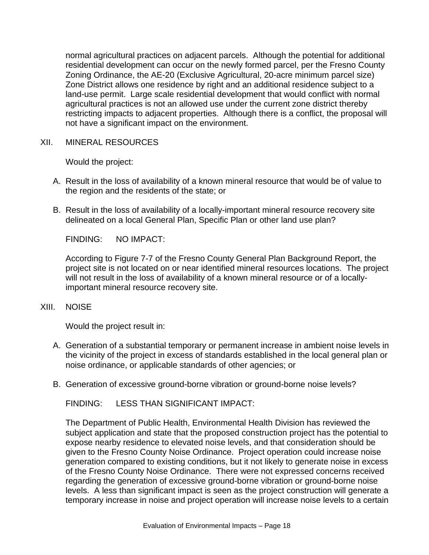normal agricultural practices on adjacent parcels. Although the potential for additional residential development can occur on the newly formed parcel, per the Fresno County Zoning Ordinance, the AE-20 (Exclusive Agricultural, 20-acre minimum parcel size) Zone District allows one residence by right and an additional residence subject to a land-use permit. Large scale residential development that would conflict with normal agricultural practices is not an allowed use under the current zone district thereby restricting impacts to adjacent properties. Although there is a conflict, the proposal will not have a significant impact on the environment.

XII. MINERAL RESOURCES

Would the project:

- A. Result in the loss of availability of a known mineral resource that would be of value to the region and the residents of the state; or
- B. Result in the loss of availability of a locally-important mineral resource recovery site delineated on a local General Plan, Specific Plan or other land use plan?

FINDING: NO IMPACT:

According to Figure 7-7 of the Fresno County General Plan Background Report, the project site is not located on or near identified mineral resources locations. The project will not result in the loss of availability of a known mineral resource or of a locallyimportant mineral resource recovery site.

XIII. NOISE

Would the project result in:

- A. Generation of a substantial temporary or permanent increase in ambient noise levels in the vicinity of the project in excess of standards established in the local general plan or noise ordinance, or applicable standards of other agencies; or
- B. Generation of excessive ground-borne vibration or ground-borne noise levels?

FINDING: LESS THAN SIGNIFICANT IMPACT:

The Department of Public Health, Environmental Health Division has reviewed the subject application and state that the proposed construction project has the potential to expose nearby residence to elevated noise levels, and that consideration should be given to the Fresno County Noise Ordinance. Project operation could increase noise generation compared to existing conditions, but it not likely to generate noise in excess of the Fresno County Noise Ordinance. There were not expressed concerns received regarding the generation of excessive ground-borne vibration or ground-borne noise levels. A less than significant impact is seen as the project construction will generate a temporary increase in noise and project operation will increase noise levels to a certain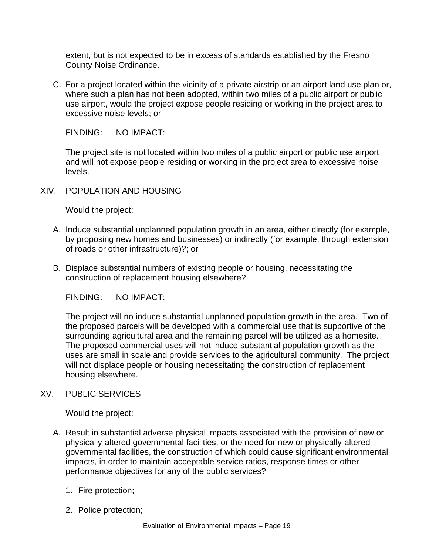extent, but is not expected to be in excess of standards established by the Fresno County Noise Ordinance.

C. For a project located within the vicinity of a private airstrip or an airport land use plan or, where such a plan has not been adopted, within two miles of a public airport or public use airport, would the project expose people residing or working in the project area to excessive noise levels; or

FINDING: NO IMPACT:

The project site is not located within two miles of a public airport or public use airport and will not expose people residing or working in the project area to excessive noise levels.

XIV. POPULATION AND HOUSING

Would the project:

- A. Induce substantial unplanned population growth in an area, either directly (for example, by proposing new homes and businesses) or indirectly (for example, through extension of roads or other infrastructure)?; or
- B. Displace substantial numbers of existing people or housing, necessitating the construction of replacement housing elsewhere?

FINDING: NO IMPACT:

The project will no induce substantial unplanned population growth in the area. Two of the proposed parcels will be developed with a commercial use that is supportive of the surrounding agricultural area and the remaining parcel will be utilized as a homesite. The proposed commercial uses will not induce substantial population growth as the uses are small in scale and provide services to the agricultural community. The project will not displace people or housing necessitating the construction of replacement housing elsewhere.

#### XV. PUBLIC SERVICES

Would the project:

- A. Result in substantial adverse physical impacts associated with the provision of new or physically-altered governmental facilities, or the need for new or physically-altered governmental facilities, the construction of which could cause significant environmental impacts, in order to maintain acceptable service ratios, response times or other performance objectives for any of the public services?
	- 1. Fire protection;
	- 2. Police protection;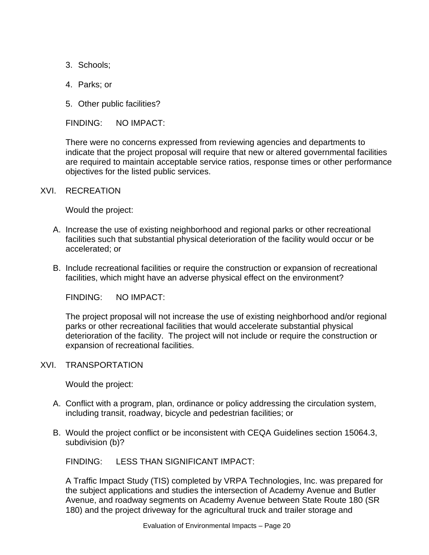- 3. Schools;
- 4. Parks; or
- 5. Other public facilities?

FINDING: NO IMPACT:

There were no concerns expressed from reviewing agencies and departments to indicate that the project proposal will require that new or altered governmental facilities are required to maintain acceptable service ratios, response times or other performance objectives for the listed public services.

#### XVI. RECREATION

Would the project:

- A. Increase the use of existing neighborhood and regional parks or other recreational facilities such that substantial physical deterioration of the facility would occur or be accelerated; or
- B. Include recreational facilities or require the construction or expansion of recreational facilities, which might have an adverse physical effect on the environment?

FINDING: NO IMPACT:

The project proposal will not increase the use of existing neighborhood and/or regional parks or other recreational facilities that would accelerate substantial physical deterioration of the facility. The project will not include or require the construction or expansion of recreational facilities.

#### XVI. TRANSPORTATION

Would the project:

- A. Conflict with a program, plan, ordinance or policy addressing the circulation system, including transit, roadway, bicycle and pedestrian facilities; or
- B. Would the project conflict or be inconsistent with CEQA Guidelines section 15064.3, subdivision (b)?

FINDING: LESS THAN SIGNIFICANT IMPACT:

A Traffic Impact Study (TIS) completed by VRPA Technologies, Inc. was prepared for the subject applications and studies the intersection of Academy Avenue and Butler Avenue, and roadway segments on Academy Avenue between State Route 180 (SR 180) and the project driveway for the agricultural truck and trailer storage and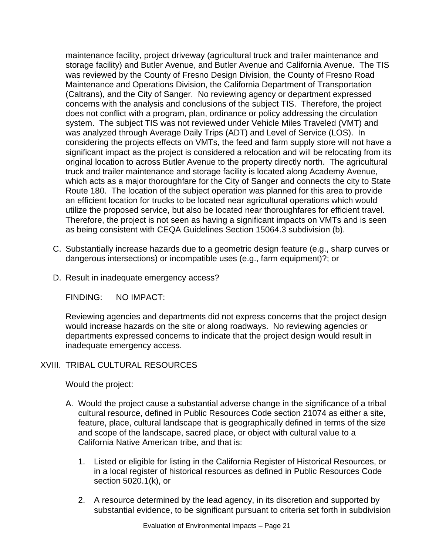maintenance facility, project driveway (agricultural truck and trailer maintenance and storage facility) and Butler Avenue, and Butler Avenue and California Avenue. The TIS was reviewed by the County of Fresno Design Division, the County of Fresno Road Maintenance and Operations Division, the California Department of Transportation (Caltrans), and the City of Sanger. No reviewing agency or department expressed concerns with the analysis and conclusions of the subject TIS. Therefore, the project does not conflict with a program, plan, ordinance or policy addressing the circulation system. The subject TIS was not reviewed under Vehicle Miles Traveled (VMT) and was analyzed through Average Daily Trips (ADT) and Level of Service (LOS). In considering the projects effects on VMTs, the feed and farm supply store will not have a significant impact as the project is considered a relocation and will be relocating from its original location to across Butler Avenue to the property directly north. The agricultural truck and trailer maintenance and storage facility is located along Academy Avenue, which acts as a major thoroughfare for the City of Sanger and connects the city to State Route 180. The location of the subject operation was planned for this area to provide an efficient location for trucks to be located near agricultural operations which would utilize the proposed service, but also be located near thoroughfares for efficient travel. Therefore, the project is not seen as having a significant impacts on VMTs and is seen as being consistent with CEQA Guidelines Section 15064.3 subdivision (b).

- C. Substantially increase hazards due to a geometric design feature (e.g., sharp curves or dangerous intersections) or incompatible uses (e.g., farm equipment)?; or
- D. Result in inadequate emergency access?

FINDING: NO IMPACT:

Reviewing agencies and departments did not express concerns that the project design would increase hazards on the site or along roadways. No reviewing agencies or departments expressed concerns to indicate that the project design would result in inadequate emergency access.

## XVIII. TRIBAL CULTURAL RESOURCES

Would the project:

- A. Would the project cause a substantial adverse change in the significance of a tribal cultural resource, defined in Public Resources Code section 21074 as either a site, feature, place, cultural landscape that is geographically defined in terms of the size and scope of the landscape, sacred place, or object with cultural value to a California Native American tribe, and that is:
	- 1. Listed or eligible for listing in the California Register of Historical Resources, or in a local register of historical resources as defined in Public Resources Code section 5020.1(k), or
	- 2. A resource determined by the lead agency, in its discretion and supported by substantial evidence, to be significant pursuant to criteria set forth in subdivision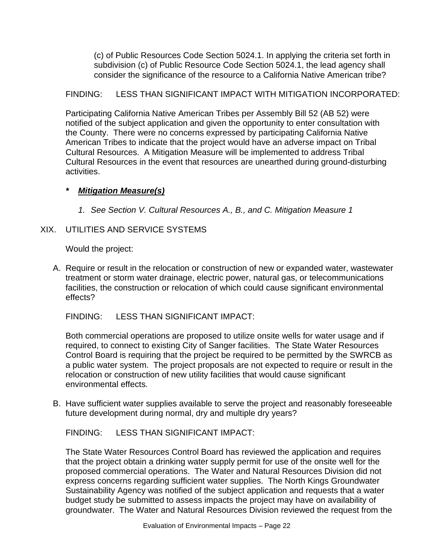(c) of Public Resources Code Section 5024.1. In applying the criteria set forth in subdivision (c) of Public Resource Code Section 5024.1, the lead agency shall consider the significance of the resource to a California Native American tribe?

## FINDING: LESS THAN SIGNIFICANT IMPACT WITH MITIGATION INCORPORATED:

Participating California Native American Tribes per Assembly Bill 52 (AB 52) were notified of the subject application and given the opportunity to enter consultation with the County. There were no concerns expressed by participating California Native American Tribes to indicate that the project would have an adverse impact on Tribal Cultural Resources. A Mitigation Measure will be implemented to address Tribal Cultural Resources in the event that resources are unearthed during ground-disturbing activities.

## *\* Mitigation Measure(s)*

*1. See Section V. Cultural Resources A., B., and C. Mitigation Measure 1*

#### XIX. UTILITIES AND SERVICE SYSTEMS

Would the project:

A. Require or result in the relocation or construction of new or expanded water, wastewater treatment or storm water drainage, electric power, natural gas, or telecommunications facilities, the construction or relocation of which could cause significant environmental effects?

FINDING: LESS THAN SIGNIFICANT IMPACT:

Both commercial operations are proposed to utilize onsite wells for water usage and if required, to connect to existing City of Sanger facilities. The State Water Resources Control Board is requiring that the project be required to be permitted by the SWRCB as a public water system. The project proposals are not expected to require or result in the relocation or construction of new utility facilities that would cause significant environmental effects.

B. Have sufficient water supplies available to serve the project and reasonably foreseeable future development during normal, dry and multiple dry years?

FINDING: LESS THAN SIGNIFICANT IMPACT:

The State Water Resources Control Board has reviewed the application and requires that the project obtain a drinking water supply permit for use of the onsite well for the proposed commercial operations. The Water and Natural Resources Division did not express concerns regarding sufficient water supplies. The North Kings Groundwater Sustainability Agency was notified of the subject application and requests that a water budget study be submitted to assess impacts the project may have on availability of groundwater. The Water and Natural Resources Division reviewed the request from the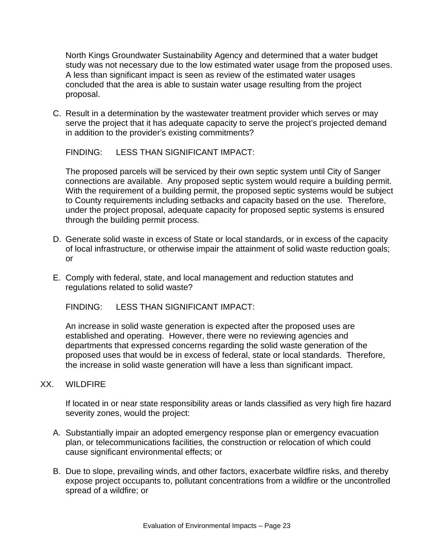North Kings Groundwater Sustainability Agency and determined that a water budget study was not necessary due to the low estimated water usage from the proposed uses. A less than significant impact is seen as review of the estimated water usages concluded that the area is able to sustain water usage resulting from the project proposal.

C. Result in a determination by the wastewater treatment provider which serves or may serve the project that it has adequate capacity to serve the project's projected demand in addition to the provider's existing commitments?

FINDING: LESS THAN SIGNIFICANT IMPACT:

The proposed parcels will be serviced by their own septic system until City of Sanger connections are available. Any proposed septic system would require a building permit. With the requirement of a building permit, the proposed septic systems would be subject to County requirements including setbacks and capacity based on the use. Therefore, under the project proposal, adequate capacity for proposed septic systems is ensured through the building permit process.

- D. Generate solid waste in excess of State or local standards, or in excess of the capacity of local infrastructure, or otherwise impair the attainment of solid waste reduction goals; or
- E. Comply with federal, state, and local management and reduction statutes and regulations related to solid waste?

FINDING: LESS THAN SIGNIFICANT IMPACT:

An increase in solid waste generation is expected after the proposed uses are established and operating. However, there were no reviewing agencies and departments that expressed concerns regarding the solid waste generation of the proposed uses that would be in excess of federal, state or local standards. Therefore, the increase in solid waste generation will have a less than significant impact.

#### XX. WILDFIRE

If located in or near state responsibility areas or lands classified as very high fire hazard severity zones, would the project:

- A. Substantially impair an adopted emergency response plan or emergency evacuation plan, or telecommunications facilities, the construction or relocation of which could cause significant environmental effects; or
- B. Due to slope, prevailing winds, and other factors, exacerbate wildfire risks, and thereby expose project occupants to, pollutant concentrations from a wildfire or the uncontrolled spread of a wildfire; or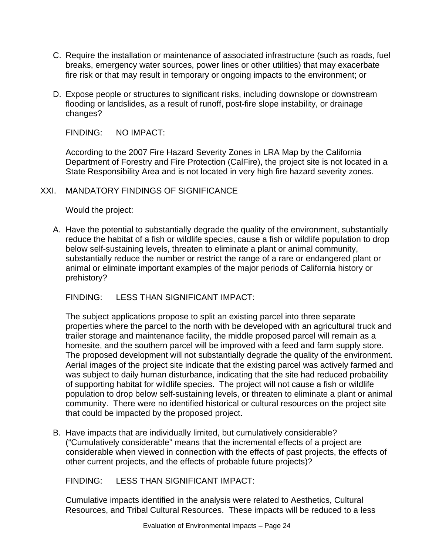- C. Require the installation or maintenance of associated infrastructure (such as roads, fuel breaks, emergency water sources, power lines or other utilities) that may exacerbate fire risk or that may result in temporary or ongoing impacts to the environment; or
- D. Expose people or structures to significant risks, including downslope or downstream flooding or landslides, as a result of runoff, post-fire slope instability, or drainage changes?

FINDING: NO IMPACT:

According to the 2007 Fire Hazard Severity Zones in LRA Map by the California Department of Forestry and Fire Protection (CalFire), the project site is not located in a State Responsibility Area and is not located in very high fire hazard severity zones.

#### XXI. MANDATORY FINDINGS OF SIGNIFICANCE

Would the project:

A. Have the potential to substantially degrade the quality of the environment, substantially reduce the habitat of a fish or wildlife species, cause a fish or wildlife population to drop below self-sustaining levels, threaten to eliminate a plant or animal community, substantially reduce the number or restrict the range of a rare or endangered plant or animal or eliminate important examples of the major periods of California history or prehistory?

FINDING: LESS THAN SIGNIFICANT IMPACT:

The subject applications propose to split an existing parcel into three separate properties where the parcel to the north with be developed with an agricultural truck and trailer storage and maintenance facility, the middle proposed parcel will remain as a homesite, and the southern parcel will be improved with a feed and farm supply store. The proposed development will not substantially degrade the quality of the environment. Aerial images of the project site indicate that the existing parcel was actively farmed and was subject to daily human disturbance, indicating that the site had reduced probability of supporting habitat for wildlife species. The project will not cause a fish or wildlife population to drop below self-sustaining levels, or threaten to eliminate a plant or animal community. There were no identified historical or cultural resources on the project site that could be impacted by the proposed project.

B. Have impacts that are individually limited, but cumulatively considerable? ("Cumulatively considerable" means that the incremental effects of a project are considerable when viewed in connection with the effects of past projects, the effects of other current projects, and the effects of probable future projects)?

FINDING: LESS THAN SIGNIFICANT IMPACT:

Cumulative impacts identified in the analysis were related to Aesthetics, Cultural Resources, and Tribal Cultural Resources. These impacts will be reduced to a less